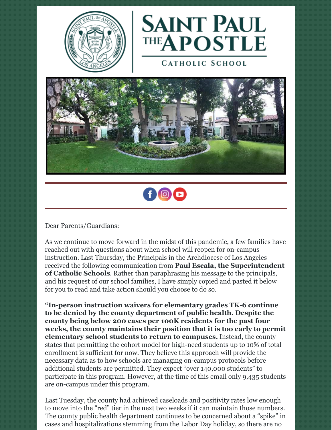



**CATHOLIC SCHOOL** 





Dear Parents/Guardians:

As we continue to move forward in the midst of this pandemic, a few families have reached out with questions about when school will reopen for on-campus instruction. Last Thursday, the Principals in the Archdiocese of Los Angeles received the following communication from **Paul Escala, the Superintendent of Catholic Schools**. Rather than paraphrasing his message to the principals, and his request of our school families, I have simply copied and pasted it below for you to read and take action should you choose to do so.

**"In-person instruction waivers for elementary grades TK-6 continue to be denied by the county department of public health. Despite the county being below 200 cases per 100K residents for the past four weeks, the county maintains their position that it is too early to permit elementary school students to return to campuses.** Instead, the county states that permitting the cohort model for high-need students up to 10% of total enrollment is sufficient for now. They believe this approach will provide the necessary data as to how schools are managing on-campus protocols before additional students are permitted. They expect "over 140,000 students" to participate in this program. However, at the time of this email only 9,435 students are on-campus under this program.

Last Tuesday, the county had achieved caseloads and positivity rates low enough to move into the "red" tier in the next two weeks if it can maintain those numbers. The county public health department continues to be concerned about a "spike" in cases and hospitalizations stemming from the Labor Day holiday, so there are no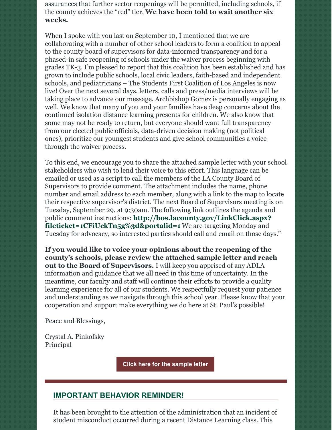assurances that further sector reopenings will be permitted, including schools, if the county achieves the "red" tier. **We have been told to wait another six weeks.**

When I spoke with you last on September 10, I mentioned that we are collaborating with a number of other school leaders to form a coalition to appeal to the county board of supervisors for data-informed transparency and for a phased-in safe reopening of schools under the waiver process beginning with grades TK-3. I'm pleased to report that this coalition has been established and has grown to include public schools, local civic leaders, faith-based and independent schools, and pediatricians – The Students First Coalition of Los Angeles is now live! Over the next several days, letters, calls and press/media interviews will be taking place to advance our message. Archbishop Gomez is personally engaging as well. We know that many of you and your families have deep concerns about the continued isolation distance learning presents for children. We also know that some may not be ready to return, but everyone should want full transparency from our elected public officials, data-driven decision making (not political ones), prioritize our youngest students and give school communities a voice through the waiver process.

To this end, we encourage you to share the attached sample letter with your school stakeholders who wish to lend their voice to this effort. This language can be emailed or used as a script to call the members of the LA County Board of Supervisors to provide comment. The attachment includes the name, phone number and email address to each member, along with a link to the map to locate their respective supervisor's district. The next Board of Supervisors meeting is on Tuesday, September 29, at 9:30am. The following link outlines the agenda and public comment instructions: **[http://bos.lacounty.gov/LinkClick.aspx?](http://bos.lacounty.gov/LinkClick.aspx?fileticket=1CFiUckTn5g%3d&portalid=1) fileticket=1CFiUckTn5g%3d&portalid=1** We are targeting Monday and Tuesday for advocacy, so interested parties should call and email on those days."

**If you would like to voice your opinions about the reopening of the county's schools, please review the attached sample letter and reach out to the Board of Supervisors.** I will keep you apprised of any ADLA information and guidance that we all need in this time of uncertainty. In the meantime, our faculty and staff will continue their efforts to provide a quality learning experience for all of our students. We respectfully request your patience and understanding as we navigate through this school year. Please know that your cooperation and support make everything we do here at St. Paul's possible!

Peace and Blessings,

Crystal A. Pinkofsky Principal

**Click here for the [sample](https://files.constantcontact.com/6c8f1ef4701/195b73f0-b555-44a5-be8d-505fcf7e9e93.docx) letter**

### **IMPORTANT BEHAVIOR REMINDER!**

It has been brought to the attention of the administration that an incident of student misconduct occurred during a recent Distance Learning class. This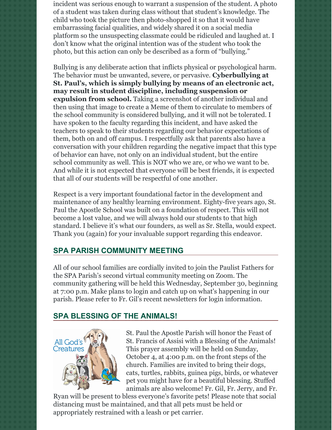incident was serious enough to warrant a suspension of the student. A photo of a student was taken during class without that student's knowledge. The child who took the picture then photo-shopped it so that it would have embarrassing facial qualities, and widely shared it on a social media platform so the unsuspecting classmate could be ridiculed and laughed at. I don't know what the original intention was of the student who took the photo, but this action can only be described as a form of "bullying."

Bullying is any deliberate action that inflicts physical or psychological harm. The behavior must be unwanted, severe, or pervasive. **Cyberbullying at St. Paul's, which is simply bullying by means of an electronic act, may result in student discipline, including suspension or expulsion from school.** Taking a screenshot of another individual and then using that image to create a Meme of them to circulate to members of the school community is considered bullying, and it will not be tolerated. I have spoken to the faculty regarding this incident, and have asked the teachers to speak to their students regarding our behavior expectations of them, both on and off campus. I respectfully ask that parents also have a conversation with your children regarding the negative impact that this type of behavior can have, not only on an individual student, but the entire school community as well. This is NOT who we are, or who we want to be. And while it is not expected that everyone will be best friends, it is expected that all of our students will be respectful of one another.

Respect is a very important foundational factor in the development and maintenance of any healthy learning environment. Eighty-five years ago, St. Paul the Apostle School was built on a foundation of respect. This will not become a lost value, and we will always hold our students to that high standard. I believe it's what our founders, as well as Sr. Stella, would expect. Thank you (again) for your invaluable support regarding this endeavor.

# **SPA PARISH COMMUNITY MEETING**

All of our school families are cordially invited to join the Paulist Fathers for the SPA Parish's second virtual community meeting on Zoom. The community gathering will be held this Wednesday, September 30, beginning at 7:00 p.m. Make plans to login and catch up on what's happening in our parish. Please refer to Fr. Gil's recent newsletters for login information.

### **SPA BLESSING OF THE ANIMALS!**



St. Paul the Apostle Parish will honor the Feast of St. Francis of Assisi with a Blessing of the Animals! This prayer assembly will be held on Sunday, October 4, at 4:00 p.m. on the front steps of the church. Families are invited to bring their dogs, cats, turtles, rabbits, guinea pigs, birds, or whatever pet you might have for a beautiful blessing. Stuffed animals are also welcome! Fr. Gil, Fr. Jerry, and Fr.

Ryan will be present to bless everyone's favorite pets! Please note that social distancing must be maintained, and that all pets must be held or appropriately restrained with a leash or pet carrier.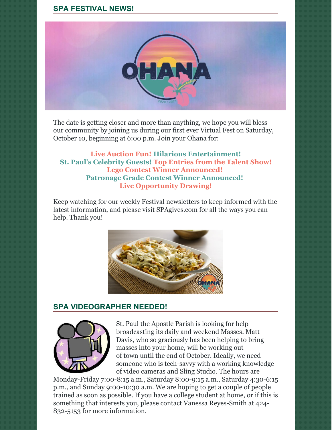## **SPA FESTIVAL NEWS!**



The date is getting closer and more than anything, we hope you will bless our community by joining us during our first ever Virtual Fest on Saturday, October 10, beginning at 6:00 p.m. Join your Ohana for:

**Live Auction Fun! Hilarious Entertainment! St. Paul's Celebrity Guests! Top Entries from the Talent Show! Lego Contest Winner Announced! Patronage Grade Contest Winner Announced! Live Opportunity Drawing!**

Keep watching for our weekly Festival newsletters to keep informed with the latest information, and please visit SPAgives.com for all the ways you can help. Thank you!



### **SPA VIDEOGRAPHER NEEDED!**



St. Paul the Apostle Parish is looking for help broadcasting its daily and weekend Masses. Matt Davis, who so graciously has been helping to bring masses into your home, will be working out of town until the end of October. Ideally, we need someone who is tech-savvy with a working knowledge of video cameras and Sling Studio. The hours are

Monday-Friday 7:00-8:15 a.m., Saturday 8:00-9:15 a.m., Saturday 4:30-6:15 p.m., and Sunday 9:00-10:30 a.m. We are hoping to get a couple of people trained as soon as possible. If you have a college student at home, or if this is something that interests you, please contact Vanessa Reyes-Smith at 424- 832-5153 for more information.